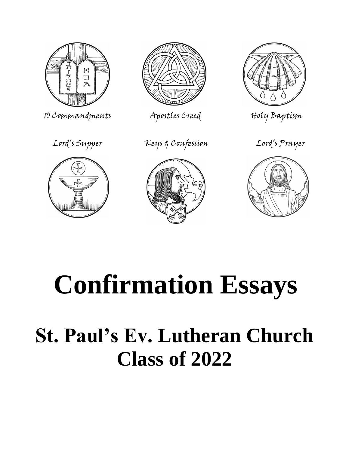

10 Commandments Apostles Creed Holy Baptism

Lord's Supper Keys & Confession Lord's Prayer













# **Confirmation Essays**

# **St. Paul's Ev. Lutheran Church Class of 2022**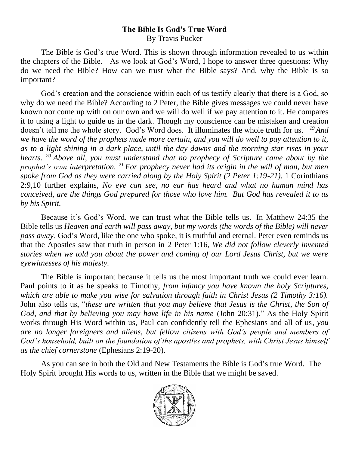# **The Bible Is God's True Word** By Travis Pucker

The Bible is God's true Word. This is shown through information revealed to us within the chapters of the Bible. As we look at God's Word, I hope to answer three questions: Why do we need the Bible? How can we trust what the Bible says? And, why the Bible is so important?

God's creation and the conscience within each of us testify clearly that there is a God, so why do we need the Bible? According to 2 Peter, the Bible gives messages we could never have known nor come up with on our own and we will do well if we pay attention to it. He compares it to using a light to guide us in the dark. Though my conscience can be mistaken and creation doesn't tell me the whole story. God's Word does*.* It illuminates the whole truth for us. *<sup>19</sup>And we have the word of the prophets made more certain, and you will do well to pay attention to it, as to a light shining in a dark place, until the day dawns and the morning star rises in your hearts. <sup>20</sup>Above all, you must understand that no prophecy of Scripture came about by the prophet's own interpretation. <sup>21</sup>For prophecy never had its origin in the will of man, but men spoke from God as they were carried along by the Holy Spirit (2 Peter 1:19-21).* 1 Corinthians 2:9,10 further explains, *No eye can see, no ear has heard and what no human mind has conceived, are the things God prepared for those who love him. But God has revealed it to us by his Spirit.*

Because it's God's Word, we can trust what the Bible tells us. In Matthew 24:35 the Bible tells us *Heaven and earth will pass away, but my words (the words of the Bible) will never pass away*. God's Word, like the one who spoke, it is truthful and eternal. Peter even reminds us that the Apostles saw that truth in person in 2 Peter 1:16, *We did not follow cleverly invented stories when we told you about the power and coming of our Lord Jesus Christ, but we were eyewitnesses of his majesty.* 

The Bible is important because it tells us the most important truth we could ever learn. Paul points to it as he speaks to Timothy, *from infancy you have known the holy Scriptures, which are able to make you wise for salvation through faith in Christ Jesus (2 Timothy 3:16).*  John also tells us, "*these are written that you may believe that Jesus is the Christ, the Son of God, and that by believing you may have life in his name* (John 20:31)." As the Holy Spirit works through His Word within us, Paul can confidently tell the Ephesians and all of us, *you are no longer foreigners and aliens, but fellow citizens with God's people and members of God's household, built on the foundation of the apostles and prophets, with Christ Jesus himself as the chief cornerstone* (Ephesians 2:19-20).

As you can see in both the Old and New Testaments the Bible is God's true Word. The Holy Spirit brought His words to us, written in the Bible that we might be saved.

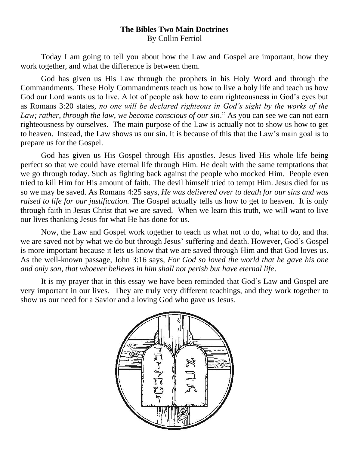# **The Bibles Two Main Doctrines**  By Collin Ferriol

Today I am going to tell you about how the Law and Gospel are important, how they work together, and what the difference is between them.

God has given us His Law through the prophets in his Holy Word and through the Commandments. These Holy Commandments teach us how to live a holy life and teach us how God our Lord wants us to live. A lot of people ask how to earn righteousness in God's eyes but as Romans 3:20 states, *no one will be declared righteous in God's sight by the works of the Law; rather, through the law, we become conscious of our sin*." As you can see we can not earn righteousness by ourselves. The main purpose of the Law is actually not to show us how to get to heaven. Instead, the Law shows us our sin. It is because of this that the Law's main goal is to prepare us for the Gospel.

God has given us His Gospel through His apostles. Jesus lived His whole life being perfect so that we could have eternal life through Him. He dealt with the same temptations that we go through today. Such as fighting back against the people who mocked Him. People even tried to kill Him for His amount of faith. The devil himself tried to tempt Him. Jesus died for us so we may be saved. As Romans 4:25 says, *He was delivered over to death for our sins and was raised to life for our justification.* The Gospel actually tells us how to get to heaven. It is only through faith in Jesus Christ that we are saved. When we learn this truth, we will want to live our lives thanking Jesus for what He has done for us.

Now, the Law and Gospel work together to teach us what not to do, what to do, and that we are saved not by what we do but through Jesus' suffering and death. However, God's Gospel is more important because it lets us know that we are saved through Him and that God loves us. As the well-known passage, John 3:16 says, *For God so loved the world that he gave his one and only son, that whoever believes in him shall not perish but have eternal life*.

It is my prayer that in this essay we have been reminded that God's Law and Gospel are very important in our lives. They are truly very different teachings, and they work together to show us our need for a Savior and a loving God who gave us Jesus.

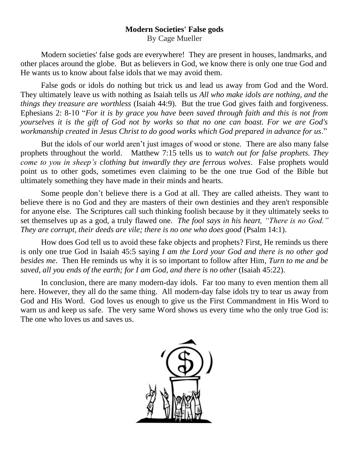#### **Modern Societies' False gods**

By Cage Mueller

Modern societies' false gods are everywhere! They are present in houses, landmarks, and other places around the globe. But as believers in God, we know there is only one true God and He wants us to know about false idols that we may avoid them.

False gods or idols do nothing but trick us and lead us away from God and the Word. They ultimately leave us with nothing as Isaiah tells us *All who make idols are nothing, and the things they treasure are worthless* (Isaiah 44:9). But the true God gives faith and forgiveness. Ephesians 2: 8-10 "*For it is by grace you have been saved through faith and this is not from yourselves it is the gift of God not by works so that no one can boast. For we are God's workmanship created in Jesus Christ to do good works which God prepared in advance for us*."

But the idols of our world aren't just images of wood or stone. There are also many false prophets throughout the world. Matthew 7:15 tells us to *watch out for false prophets. They come to you in sheep's clothing but inwardly they are ferrous wolves*. False prophets would point us to other gods, sometimes even claiming to be the one true God of the Bible but ultimately something they have made in their minds and hearts.

Some people don't believe there is a God at all. They are called atheists. They want to believe there is no God and they are masters of their own destinies and they aren't responsible for anyone else. The Scriptures call such thinking foolish because by it they ultimately seeks to set themselves up as a god, a truly flawed one. *The fool says in his heart, "There is no God." They are corrupt, their deeds are vile; there is no one who does good* (Psalm 14:1).

How does God tell us to avoid these fake objects and prophets? First, He reminds us there is only one true God in Isaiah 45:5 saying *I am the Lord your God and there is no other god besides me*. Then He reminds us why it is so important to follow after Him, *Turn to me and be saved, all you ends of the earth; for I am God, and there is no other* (Isaiah 45:22).

In conclusion, there are many modern-day idols. Far too many to even mention them all here. However, they all do the same thing. All modern-day false idols try to tear us away from God and His Word. God loves us enough to give us the First Commandment in His Word to warn us and keep us safe. The very same Word shows us every time who the only true God is: The one who loves us and saves us.

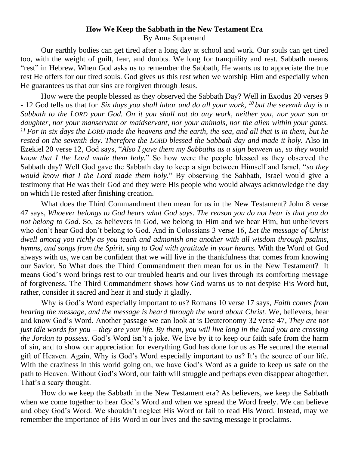#### **How We Keep the Sabbath in the New Testament Era** By Anna Suprenand

Our earthly bodies can get tired after a long day at school and work. Our souls can get tired too, with the weight of guilt, fear, and doubts. We long for tranquility and rest. Sabbath means "rest" in Hebrew. When God asks us to remember the Sabbath, He wants us to appreciate the true rest He offers for our tired souls. God gives us this rest when we worship Him and especially when He guarantees us that our sins are forgiven through Jesus.

How were the people blessed as they observed the Sabbath Day? Well in Exodus 20 verses 9 - 12 God tells us that for *Six days you shall labor and do all your work, <sup>10</sup>but the seventh day is a Sabbath to the LORD your God. On it you shall not do any work, neither you, nor your son or daughter, nor your manservant or maidservant, nor your animals, nor the alien within your gates. <sup>11</sup>For in six days the LORD made the heavens and the earth, the sea, and all that is in them, but he rested on the seventh day. Therefore the LORD blessed the Sabbath day and made it holy.* Also in Ezekiel 20 verse 12, God says, "*Also I gave them my Sabbaths as a sign between us, so they would know that I the Lord made them holy.*" So how were the people blessed as they observed the Sabbath day? Well God gave the Sabbath day to keep a sign between Himself and Israel, "*so they would know that I the Lord made them holy.*" By observing the Sabbath, Israel would give a testimony that He was their God and they were His people who would always acknowledge the day on which He rested after finishing creation.

What does the Third Commandment then mean for us in the New Testament? John 8 verse 47 says, *Whoever belongs to God hears what God says. The reason you do not hear is that you do not belong to God*. So, as believers in God, we belong to Him and we hear Him, but unbelievers who don't hear God don't belong to God. And in Colossians 3 verse 16, *Let the message of Christ dwell among you richly as you teach and admonish one another with all wisdom through psalms, hymns, and songs from the Spirit, sing to God with gratitude in your hearts.* With the Word of God always with us, we can be confident that we will live in the thankfulness that comes from knowing our Savior. So What does the Third Commandment then mean for us in the New Testament? It means God's word brings rest to our troubled hearts and our lives through its comforting message of forgiveness. The Third Commandment shows how God warns us to not despise His Word but, rather, consider it sacred and hear it and study it gladly.

Why is God's Word especially important to us? Romans 10 verse 17 says, *Faith comes from hearing the message, and the message is heard through the word about Christ.* We, believers, hear and know God's Word. Another passage we can look at is Deuteronomy 32 verse 47, *They are not just idle words for you – they are your life. By them, you will live long in the land you are crossing the Jordan to possess.* God's Word isn't a joke. We live by it to keep our faith safe from the harm of sin, and to show our appreciation for everything God has done for us as He secured the eternal gift of Heaven. Again, Why is God's Word especially important to us? It's the source of our life. With the craziness in this world going on, we have God's Word as a guide to keep us safe on the path to Heaven. Without God's Word, our faith will struggle and perhaps even disappear altogether. That's a scary thought.

How do we keep the Sabbath in the New Testament era? As believers, we keep the Sabbath when we come together to hear God's Word and when we spread the Word freely. We can believe and obey God's Word. We shouldn't neglect His Word or fail to read His Word. Instead, may we remember the importance of His Word in our lives and the saving message it proclaims.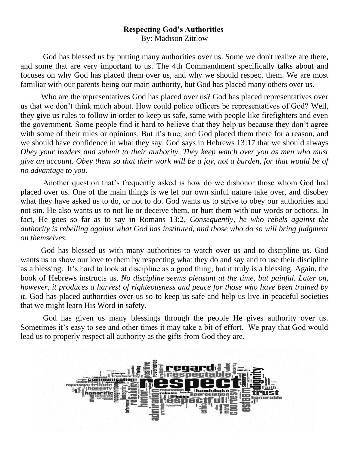#### **Respecting God's Authorities** By: Madison Zittlow

God has blessed us by putting many authorities over us. Some we don't realize are there, and some that are very important to us. The 4th Commandment specifically talks about and focuses on why God has placed them over us, and why we should respect them. We are most familiar with our parents being our main authority, but God has placed many others over us.

Who are the representatives God has placed over us? God has placed representatives over us that we don't think much about. How could police officers be representatives of God? Well, they give us rules to follow in order to keep us safe, same with people like firefighters and even the government. Some people find it hard to believe that they help us because they don't agree with some of their rules or opinions. But it's true, and God placed them there for a reason, and we should have confidence in what they say. God says in Hebrews 13:17 that we should always *Obey your leaders and submit to their authority. They keep watch over you as men who must give an account. Obey them so that their work will be a joy, not a burden, for that would be of no advantage to you.*

Another question that's frequently asked is how do we dishonor those whom God had placed over us. One of the main things is we let our own sinful nature take over, and disobey what they have asked us to do, or not to do. God wants us to strive to obey our authorities and not sin. He also wants us to not lie or deceive them, or hurt them with our words or actions. In fact, He goes so far as to say in Romans 13:2*, Consequently, he who rebels against the authority is rebelling against what God has instituted, and those who do so will bring judgment on themselves.*

God has blessed us with many authorities to watch over us and to discipline us. God wants us to show our love to them by respecting what they do and say and to use their discipline as a blessing. It's hard to look at discipline as a good thing, but it truly is a blessing. Again, the book of Hebrews instructs us, *No discipline seems pleasant at the time, but painful. Later on, however, it produces a harvest of righteousness and peace for those who have been trained by it*. God has placed authorities over us so to keep us safe and help us live in peaceful societies that we might learn His Word in safety.

God has given us many blessings through the people He gives authority over us. Sometimes it's easy to see and other times it may take a bit of effort. We pray that God would lead us to properly respect all authority as the gifts from God they are.

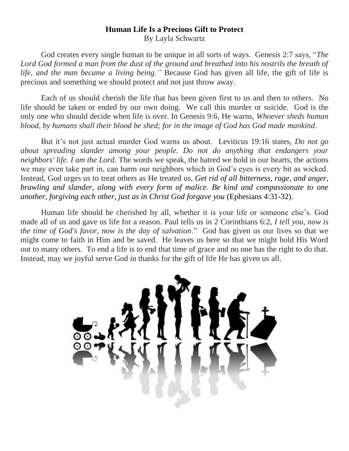#### **Human Life Is a Precious Gift to Protect** By Layla Schwartz

God creates every single human to be unique in all sorts of ways. Genesis 2:7 says, "*The Lord God formed a man from the dust of the ground and breathed into his nostrils the breath of life, and the man became a living being."* Because God has given all life, the gift of life is precious and something we should protect and not just throw away.

Each of us should cherish the life that has been given first to us and then to others. No life should be taken or ended by our own doing. We call this murder or suicide. God is the only one who should decide when life is over. In Genesis 9:6, He warns, *Whoever sheds human blood, by humans shall their blood be shed; for in the image of God has God made mankind*.

But it's not just actual murder God warns us about. Leviticus 19:16 states, *Do not go about spreading slander among your people. Do not do anything that endangers your neighbors' life. I am the Lord.* The words we speak, the hatred we hold in our hearts, the actions we may even take part in, can harm our neighbors which in God's eyes is every bit as wicked. Instead, God urges us to treat others as He treated us, *Get rid of all bitterness, rage, and anger, brawling and slander, along with every form of malice. Be kind and compassionate to one another, forgiving each other, just as in Christ God forgave you* (Ephesians 4:31-32).

Human life should be cherished by all, whether it is your life or someone else's. God made all of us and gave us life for a reason. Paul tells us in 2 Corinthians 6:2, *I tell you, now is the time of God's favor, now is the day of salvation*." God has given us our lives so that we might come to faith in Him and be saved. He leaves us here so that we might hold His Word out to many others. To end a life is to end that time of grace and no one has the right to do that. Instead, may we joyful serve God in thanks for the gift of life He has given us all.

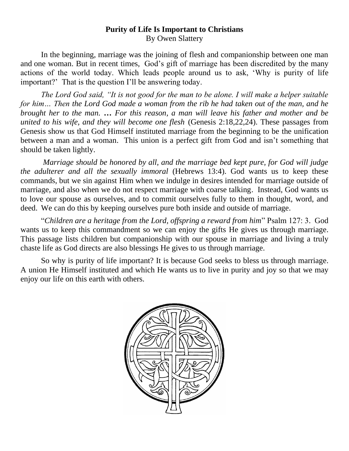#### **Purity of Life Is Important to Christians** By Owen Slattery

In the beginning, marriage was the joining of flesh and companionship between one man and one woman. But in recent times, God's gift of marriage has been discredited by the many actions of the world today. Which leads people around us to ask, 'Why is purity of life important?' That is the question I'll be answering today.

*The Lord God said, "It is not good for the man to be alone. I will make a helper suitable for him… Then the Lord God made a woman from the rib he had taken out of the man, and he brought her to the man. … For this reason, a man will leave his father and mother and be united to his wife, and they will become one flesh* (Genesis 2:18,22,24). These passages from Genesis show us that God Himself instituted marriage from the beginning to be the unification between a man and a woman. This union is a perfect gift from God and isn't something that should be taken lightly.

*Marriage should be honored by all, and the marriage bed kept pure, for God will judge the adulterer and all the sexually immoral* (Hebrews 13:4). God wants us to keep these commands, but we sin against Him when we indulge in desires intended for marriage outside of marriage, and also when we do not respect marriage with coarse talking. Instead, God wants us to love our spouse as ourselves, and to commit ourselves fully to them in thought, word, and deed. We can do this by keeping ourselves pure both inside and outside of marriage.

"*Children are a heritage from the Lord, offspring a reward from him*" Psalm 127: 3. God wants us to keep this commandment so we can enjoy the gifts He gives us through marriage. This passage lists children but companionship with our spouse in marriage and living a truly chaste life as God directs are also blessings He gives to us through marriage.

So why is purity of life important? It is because God seeks to bless us through marriage. A union He Himself instituted and which He wants us to live in purity and joy so that we may enjoy our life on this earth with others.

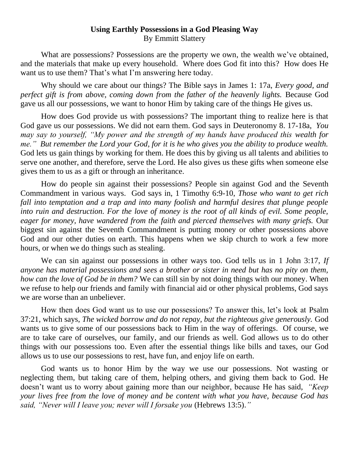#### **Using Earthly Possessions in a God Pleasing Way** By Emmitt Slattery

What are possessions? Possessions are the property we own, the wealth we've obtained, and the materials that make up every household. Where does God fit into this? How does He want us to use them? That's what I'm answering here today.

Why should we care about our things? The Bible says in James 1: 17a, *Every good, and perfect gift is from above, coming down from the father of the heavenly lights.* Because God gave us all our possessions, we want to honor Him by taking care of the things He gives us.

How does God provide us with possessions? The important thing to realize here is that God gave us our possessions. We did not earn them. God says in Deuteronomy 8. 17-18a, *You may say to yourself, "My power and the strength of my hands have produced this wealth for me." But remember the Lord your God, for it is he who gives you the ability to produce wealth.* God lets us gain things by working for them. He does this by giving us all talents and abilities to serve one another, and therefore, serve the Lord. He also gives us these gifts when someone else gives them to us as a gift or through an inheritance.

How do people sin against their possessions? People sin against God and the Seventh Commandment in various ways. God says in, 1 Timothy 6:9-10, *Those who want to get rich fall into temptation and a trap and into many foolish and harmful desires that plunge people into ruin and destruction. For the love of money is the root of all kinds of evil. Some people, eager for money, have wandered from the faith and pierced themselves with many griefs.* Our biggest sin against the Seventh Commandment is putting money or other possessions above God and our other duties on earth. This happens when we skip church to work a few more hours, or when we do things such as stealing.

We can sin against our possessions in other ways too. God tells us in 1 John 3:17, *If anyone has material possessions and sees a brother or sister in need but has no pity on them, how can the love of God be in them?* We can still sin by not doing things with our money. When we refuse to help our friends and family with financial aid or other physical problems, God says we are worse than an unbeliever.

How then does God want us to use our possessions? To answer this, let's look at Psalm 37:21, which says, *The wicked borrow and do not repay, but the righteous give generously.* God wants us to give some of our possessions back to Him in the way of offerings. Of course, we are to take care of ourselves, our family, and our friends as well. God allows us to do other things with our possessions too. Even after the essential things like bills and taxes, our God allows us to use our possessions to rest, have fun, and enjoy life on earth.

God wants us to honor Him by the way we use our possessions. Not wasting or neglecting them, but taking care of them, helping others, and giving them back to God. He doesn't want us to worry about gaining more than our neighbor, because He has said, *"Keep your lives free from the love of money and be content with what you have, because God has said, "Never will I leave you; never will I forsake you* (Hebrews 13:5).*"*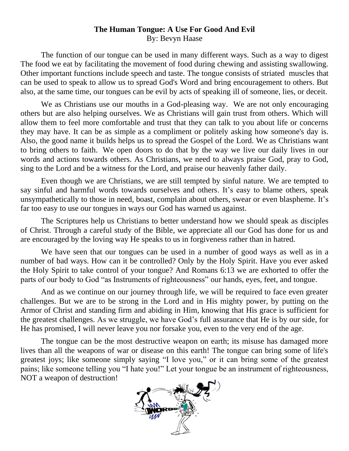#### **The Human Tongue: A Use For Good And Evil** By: Bevyn Haase

The function of our tongue can be used in many different ways. Such as a way to digest The food we eat by facilitating the movement of food during chewing and assisting swallowing. Other important functions include speech and taste. The tongue consists of striated muscles that can be used to speak to allow us to spread God's Word and bring encouragement to others. But also, at the same time, our tongues can be evil by acts of speaking ill of someone, lies, or deceit.

We as Christians use our mouths in a God-pleasing way. We are not only encouraging others but are also helping ourselves. We as Christians will gain trust from others. Which will allow them to feel more comfortable and trust that they can talk to you about life or concerns they may have. It can be as simple as a compliment or politely asking how someone's day is. Also, the good name it builds helps us to spread the Gospel of the Lord. We as Christians want to bring others to faith. We open doors to do that by the way we live our daily lives in our words and actions towards others. As Christians, we need to always praise God, pray to God, sing to the Lord and be a witness for the Lord, and praise our heavenly father daily.

Even though we are Christians, we are still tempted by sinful nature. We are tempted to say sinful and harmful words towards ourselves and others. It's easy to blame others, speak unsympathetically to those in need, boast, complain about others, swear or even blaspheme. It's far too easy to use our tongues in ways our God has warned us against.

The Scriptures help us Christians to better understand how we should speak as disciples of Christ. Through a careful study of the Bible, we appreciate all our God has done for us and are encouraged by the loving way He speaks to us in forgiveness rather than in hatred.

We have seen that our tongues can be used in a number of good ways as well as in a number of bad ways. How can it be controlled? Only by the Holy Spirit. Have you ever asked the Holy Spirit to take control of your tongue? And Romans 6:13 we are exhorted to offer the parts of our body to God "as Instruments of righteousness" our hands, eyes, feet, and tongue.

And as we continue on our journey through life, we will be required to face even greater challenges. But we are to be strong in the Lord and in His mighty power, by putting on the Armor of Christ and standing firm and abiding in Him, knowing that His grace is sufficient for the greatest challenges. As we struggle, we have God's full assurance that He is by our side, for He has promised, I will never leave you nor forsake you, even to the very end of the age.

The tongue can be the most destructive weapon on earth; its misuse has damaged more lives than all the weapons of war or disease on this earth! The tongue can bring some of life's greatest joys; like someone simply saying "I love you," or it can bring some of the greatest pains; like someone telling you "I hate you!" Let your tongue be an instrument of righteousness, NOT a weapon of destruction!

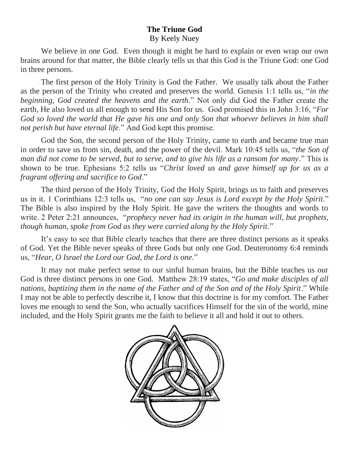# **The Triune God** By Keely Nuey

We believe in one God. Even though it might be hard to explain or even wrap our own brains around for that matter, the Bible clearly tells us that this God is the Triune God: one God in three persons.

The first person of the Holy Trinity is God the Father. We usually talk about the Father as the person of the Trinity who created and preserves the world. Genesis 1:1 tells us, "*in the beginning, God created the heavens and the earth*." Not only did God the Father create the earth, He also loved us all enough to send His Son for us. God promised this in John 3:16, "*For God so loved the world that He gave his one and only Son that whoever believes in him shall not perish but have eternal life*." And God kept this promise.

God the Son, the second person of the Holy Trinity, came to earth and became true man in order to save us from sin, death, and the power of the devil. Mark 10:45 tells us, "*the Son of man did not come to be served, but to serve, and to give his life as a ransom for many*." This is shown to be true. Ephesians 5:2 tells us "*Christ loved us and gave himself up for us as a fragrant offering and sacrifice to God*."

The third person of the Holy Trinity, God the Holy Spirit, brings us to faith and preserves us in it. 1 Corinthians 12:3 tells us, "*no one can say Jesus is Lord except by the Holy Spirit*." The Bible is also inspired by the Holy Spirit. He gave the writers the thoughts and words to write. 2 Peter 2:21 announces, "*prophecy never had its origin in the human will, but prophets, though human, spoke from God as they were carried along by the Holy Spirit.*"

It's easy to see that Bible clearly teaches that there are three distinct persons as it speaks of God. Yet the Bible never speaks of three Gods but only one God. Deuteronomy 6:4 reminds us, "*Hear, O Israel the Lord our God, the Lord is one.*"

It may not make perfect sense to our sinful human brains, but the Bible teaches us our God is three distinct persons in one God. Matthew 28:19 states, "*Go and make disciples of all nations, baptizing them in the name of the Father and of the Son and of the Holy Spirit*." While I may not be able to perfectly describe it, I know that this doctrine is for my comfort. The Father loves me enough to send the Son, who actually sacrifices Himself for the sin of the world, mine included, and the Holy Spirit grants me the faith to believe it all and hold it out to others.

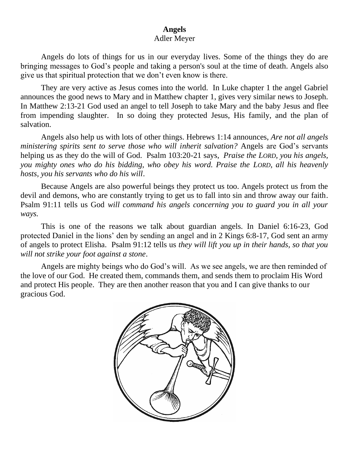#### **Angels** Adler Meyer

# Angels do lots of things for us in our everyday lives. Some of the things they do are bringing messages to God's people and taking a person's soul at the time of death. Angels also give us that spiritual protection that we don't even know is there.

They are very active as Jesus comes into the world. In Luke chapter 1 the angel Gabriel announces the good news to Mary and in Matthew chapter 1, gives very similar news to Joseph. In Matthew 2:13-21 God used an angel to tell Joseph to take Mary and the baby Jesus and flee from impending slaughter. In so doing they protected Jesus, His family, and the plan of salvation.

Angels also help us with lots of other things. Hebrews 1:14 announces, *Are not all angels ministering spirits sent to serve those who will inherit salvation?* Angels are God's servants helping us as they do the will of God. Psalm 103:20-21 says, *Praise the LORD, you his angels, you mighty ones who do his bidding, who obey his word. Praise the LORD, all his heavenly hosts, you his servants who do his will*.

Because Angels are also powerful beings they protect us too. Angels protect us from the devil and demons, who are constantly trying to get us to fall into sin and throw away our faith. Psalm 91:11 tells us God *will command his angels concerning you to guard you in all your ways.*

This is one of the reasons we talk about guardian angels. In Daniel 6:16-23, God protected Daniel in the lions' den by sending an angel and in 2 Kings 6:8-17, God sent an army of angels to protect Elisha. Psalm 91:12 tells us *they will lift you up in their hands, so that you will not strike your foot against a stone*.

Angels are mighty beings who do God's will. As we see angels, we are then reminded of the love of our God. He created them, commands them, and sends them to proclaim His Word and protect His people. They are then another reason that you and I can give thanks to our gracious God.

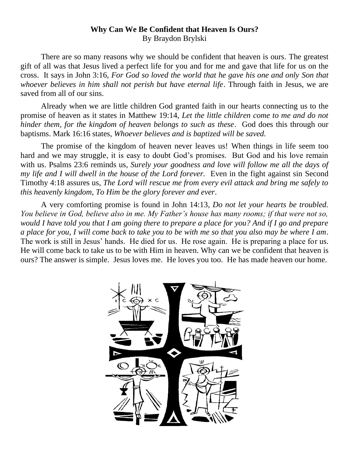#### **Why Can We Be Confident that Heaven Is Ours?** By Braydon Brylski

There are so many reasons why we should be confident that heaven is ours. The greatest gift of all was that Jesus lived a perfect life for you and for me and gave that life for us on the cross. It says in John 3:16, *For God so loved the world that he gave his one and only Son that whoever believes in him shall not perish but have eternal life*. Through faith in Jesus, we are saved from all of our sins.

Already when we are little children God granted faith in our hearts connecting us to the promise of heaven as it states in Matthew 19:14, *Let the little children come to me and do not hinder them, for the kingdom of heaven belongs to such as these*. God does this through our baptisms. Mark 16:16 states, *Whoever believes and is baptized will be saved.*

The promise of the kingdom of heaven never leaves us! When things in life seem too hard and we may struggle, it is easy to doubt God's promises. But God and his love remain with us. Psalms 23:6 reminds us, *Surely your goodness and love will follow me all the days of my life and I will dwell in the house of the Lord forever.* Even in the fight against sin Second Timothy 4:18 assures us, *The Lord will rescue me from every evil attack and bring me safely to this heavenly kingdom, To Him be the glory forever and ever*.

A very comforting promise is found in John 14:13, *Do not let your hearts be troubled. You believe in God, believe also in me. My Father's house has many rooms; if that were not so, would I have told you that I am going there to prepare a place for you? And if I go and prepare a place for you, I will come back to take you to be with me so that you also may be where I am*. The work is still in Jesus' hands. He died for us. He rose again. He is preparing a place for us. He will come back to take us to be with Him in heaven. Why can we be confident that heaven is ours? The answer is simple. Jesus loves me. He loves you too. He has made heaven our home.

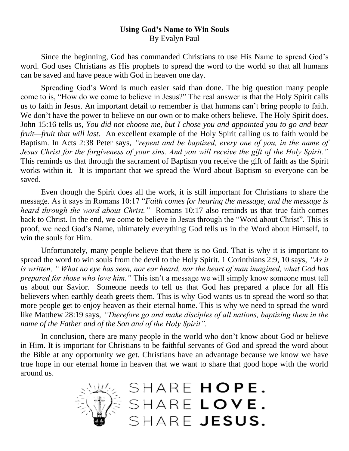## **Using God's Name to Win Souls** By Evalyn Paul

Since the beginning, God has commanded Christians to use His Name to spread God's word. God uses Christians as His prophets to spread the word to the world so that all humans can be saved and have peace with God in heaven one day.

Spreading God's Word is much easier said than done. The big question many people come to is, "How do we come to believe in Jesus?" The real answer is that the Holy Spirit calls us to faith in Jesus. An important detail to remember is that humans can't bring people to faith. We don't have the power to believe on our own or to make others believe. The Holy Spirit does. John 15:16 tells us, *You did not choose me, but I chose you and appointed you to go and bear fruit—fruit that will last*. An excellent example of the Holy Spirit calling us to faith would be Baptism. In Acts 2:38 Peter says, *"repent and be baptized, every one of you, in the name of Jesus Christ for the forgiveness of your sins. And you will receive the gift of the Holy Spirit."*  This reminds us that through the sacrament of Baptism you receive the gift of faith as the Spirit works within it. It is important that we spread the Word about Baptism so everyone can be saved.

Even though the Spirit does all the work, it is still important for Christians to share the message. As it says in Romans 10:17 "*Faith comes for hearing the message, and the message is heard through the word about Christ.*" Romans 10:17 also reminds us that true faith comes back to Christ. In the end, we come to believe in Jesus through the "Word about Christ". This is proof, we need God's Name, ultimately everything God tells us in the Word about Himself, to win the souls for Him.

Unfortunately, many people believe that there is no God. That is why it is important to spread the word to win souls from the devil to the Holy Spirit. 1 Corinthians 2:9, 10 says, *"As it is written, " What no eye has seen, nor ear heard, nor the heart of man imagined, what God has prepared for those who love him."* This isn't a message we will simply know someone must tell us about our Savior. Someone needs to tell us that God has prepared a place for all His believers when earthly death greets them. This is why God wants us to spread the word so that more people get to enjoy heaven as their eternal home. This is why we need to spread the word like Matthew 28:19 says, *"Therefore go and make disciples of all nations, baptizing them in the name of the Father and of the Son and of the Holy Spirit".*

In conclusion, there are many people in the world who don't know about God or believe in Him. It is important for Christians to be faithful servants of God and spread the word about the Bible at any opportunity we get. Christians have an advantage because we know we have true hope in our eternal home in heaven that we want to share that good hope with the world around us.

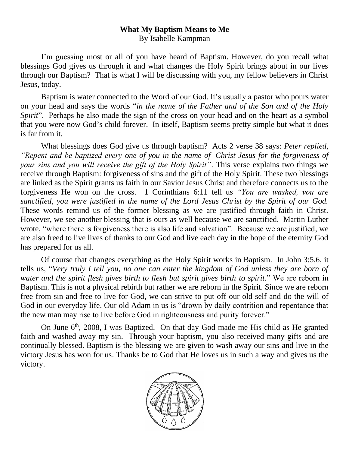#### **What My Baptism Means to Me** By Isabelle Kampman

I'm guessing most or all of you have heard of Baptism. However, do you recall what blessings God gives us through it and what changes the Holy Spirit brings about in our lives through our Baptism? That is what I will be discussing with you, my fellow believers in Christ Jesus, today.

Baptism is water connected to the Word of our God. It's usually a pastor who pours water on your head and says the words "*in the name of the Father and of the Son and of the Holy Spirit*". Perhaps he also made the sign of the cross on your head and on the heart as a symbol that you were now God's child forever. In itself, Baptism seems pretty simple but what it does is far from it.

What blessings does God give us through baptism? Acts 2 verse 38 says: *Peter replied, "Repent and be baptized every one of you in the name of Christ Jesus for the forgiveness of your sins and you will receive the gift of the Holy Spirit"*. This verse explains two things we receive through Baptism: forgiveness of sins and the gift of the Holy Spirit. These two blessings are linked as the Spirit grants us faith in our Savior Jesus Christ and therefore connects us to the forgiveness He won on the cross. 1 Corinthians 6:11 tell us *"You are washed, you are sanctified, you were justified in the name of the Lord Jesus Christ by the Spirit of our God.* These words remind us of the former blessing as we are justified through faith in Christ. However, we see another blessing that is ours as well because we are sanctified. Martin Luther wrote, "where there is forgiveness there is also life and salvation". Because we are justified, we are also freed to live lives of thanks to our God and live each day in the hope of the eternity God has prepared for us all.

Of course that changes everything as the Holy Spirit works in Baptism. In John 3:5,6, it tells us, "*Very truly I tell you, no one can enter the kingdom of God unless they are born of water and the spirit flesh gives birth to flesh but spirit gives birth to spirit.*" We are reborn in Baptism. This is not a physical rebirth but rather we are reborn in the Spirit. Since we are reborn free from sin and free to live for God, we can strive to put off our old self and do the will of God in our everyday life. Our old Adam in us is "drown by daily contrition and repentance that the new man may rise to live before God in righteousness and purity forever."

On June  $6<sup>th</sup>$ , 2008, I was Baptized. On that day God made me His child as He granted faith and washed away my sin. Through your baptism, you also received many gifts and are continually blessed. Baptism is the blessing we are given to wash away our sins and live in the victory Jesus has won for us. Thanks be to God that He loves us in such a way and gives us the victory.